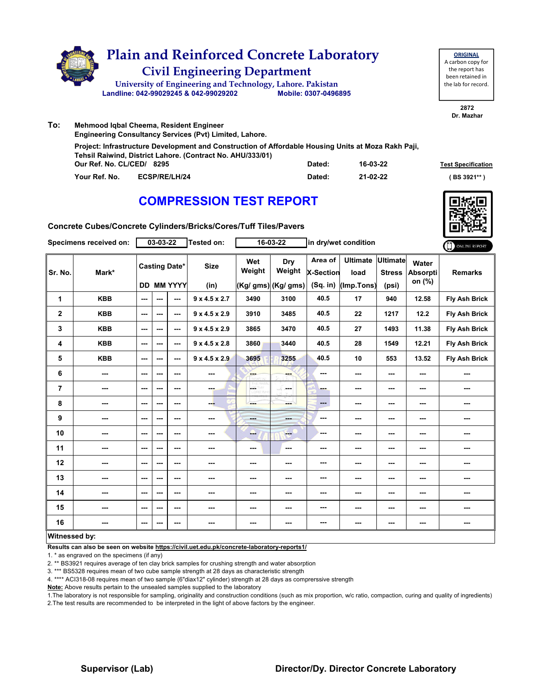

**ORIGINAL** A carbon copy for the report has been retained in the lab for record.

> **2872 Dr. Mazhar**

| To: | Mehmood Igbal Cheema, Resident Engineer |                                                                                                                                                                   |        |          |                           |  |  |  |  |  |  |
|-----|-----------------------------------------|-------------------------------------------------------------------------------------------------------------------------------------------------------------------|--------|----------|---------------------------|--|--|--|--|--|--|
|     |                                         | <b>Engineering Consultancy Services (Pvt) Limited, Lahore.</b>                                                                                                    |        |          |                           |  |  |  |  |  |  |
|     |                                         | Project: Infrastructure Development and Construction of Affordable Housing Units at Moza Rakh Paji,<br>Tehsil Raiwind, District Lahore. (Contract No. AHU/333/01) |        |          |                           |  |  |  |  |  |  |
|     | Our Ref. No. CL/CED/ 8295               |                                                                                                                                                                   | Dated: | 16-03-22 | <b>Test Specification</b> |  |  |  |  |  |  |
|     | Your Ref. No.                           | ECSP/RE/LH/24                                                                                                                                                     | Dated: | 21-02-22 | (BS 3921** )              |  |  |  |  |  |  |

# **COMPRESSION TEST REPORT**



**Concrete Cubes/Concrete Cylinders/Bricks/Cores/Tuff Tiles/Pavers**

|                | Specimens received on:   |         | 03-03-22 |                                           | Tested on:                |                       | 16-03-22                              |                                    | in dry/wet condition                    |                          |                             | ONLINE REPORT        |
|----------------|--------------------------|---------|----------|-------------------------------------------|---------------------------|-----------------------|---------------------------------------|------------------------------------|-----------------------------------------|--------------------------|-----------------------------|----------------------|
| Sr. No.        | Mark*                    |         |          | <b>Casting Date*</b><br><b>DD MM YYYY</b> | <b>Size</b><br>(in)       | Wet<br>Weight         | Dry<br>Weight<br>$(Kg/gms)$ (Kg/ gms) | Area of<br>X-Section<br>$(Sq.$ in) | Ultimate Ultimate<br>load<br>(Imp.Tons) | <b>Stress</b><br>(psi)   | Water<br>Absorpti<br>on (%) | <b>Remarks</b>       |
| 1              | <b>KBB</b>               | ---     | ---      | ---                                       | $9 \times 4.5 \times 2.7$ | 3490                  | 3100                                  | 40.5                               | 17                                      | 940                      | 12.58                       | <b>Fly Ash Brick</b> |
| $\mathbf{2}$   | <b>KBB</b>               | ---     | ---      | $\overline{\phantom{a}}$                  | $9 \times 4.5 \times 2.9$ | 3910                  | 3485                                  | 40.5                               | 22                                      | 1217                     | 12.2                        | <b>Fly Ash Brick</b> |
| 3              | <b>KBB</b>               | ---     | ---      | ---                                       | $9 \times 4.5 \times 2.9$ | 3865                  | 3470                                  | 40.5                               | 27                                      | 1493                     | 11.38                       | <b>Fly Ash Brick</b> |
| 4              | <b>KBB</b>               | ---     | ---      | ---                                       | $9 \times 4.5 \times 2.8$ | 3860                  | 3440                                  | 40.5                               | 28                                      | 1549                     | 12.21                       | <b>Fly Ash Brick</b> |
| 5              | <b>KBB</b>               | ---     | ---      | ---                                       | $9 \times 4.5 \times 2.9$ | 3695                  | 3255                                  | 40.5                               | 10                                      | 553                      | 13.52                       | <b>Fly Ash Brick</b> |
| 6              | $\sim$                   | ---     | ---      | ---                                       | ---                       | ---<br><b>REFAIRS</b> |                                       | ---                                | ---                                     | $\overline{\phantom{a}}$ | $\overline{\phantom{a}}$    |                      |
| $\overline{7}$ | ---                      | $- - -$ | ---      | $- - -$                                   | man.                      | ÷<br>w                | ---                                   | ---                                | ---                                     | $\overline{\phantom{a}}$ | ---                         | ---                  |
| 8              | $\sim$                   | ---     | ---      | $--$                                      | --                        | ---                   | ---                                   | ---                                | $\overline{\phantom{a}}$                | ---                      | ---                         | ---                  |
| 9              | ---                      | $- - -$ | ---      | ---                                       | ---                       | <b>Hotel</b>          | and in                                | ---                                | ---                                     | ---                      | ---                         | ---                  |
| 10             | $\overline{\phantom{a}}$ | ---     | ---      | $--$                                      | ---                       | --                    | <b>FOR</b>                            | ---                                | ---                                     | $\overline{\phantom{a}}$ | $\sim$                      | ---                  |
| 11             | $\qquad \qquad \cdots$   | ---     | ---      | ---                                       | ---                       | ---                   | ---                                   | ---                                | ---                                     | ---                      | ---                         | ---                  |
| 12             | ---                      | ---     | ---      | ---                                       | ---                       | ---                   | ---                                   | ---                                | ---                                     | $\overline{\phantom{a}}$ | $\overline{\phantom{a}}$    | ---                  |
| 13             | ---                      | ---     | ---      | ---                                       | ---                       | ---                   | ---                                   | ---                                | ---                                     | ---                      | ---                         | ---                  |
| 14             | $\qquad \qquad \cdots$   | ---     | ---      | $\overline{\phantom{a}}$                  | ---                       | ---                   | ---                                   | ---                                | $--$                                    | ---                      | $\overline{\phantom{a}}$    | ---                  |
| 15             | ---                      | $--$    | ---      | ---                                       | ---                       | ---                   | ---                                   | ---                                | $\sim$                                  | ---                      | ---                         | ---                  |
| 16             | ---                      | ---     | ---      | ---                                       | $\sim$                    | ---                   | ---                                   | ---                                | ---                                     | $\sim$                   | ---                         | ---                  |
| Witnessed by:  |                          |         |          |                                           |                           |                       |                                       |                                    |                                         |                          |                             |                      |

### **Witnessed by:**

**Results can also be seen on website https://civil.uet.edu.pk/concrete-laboratory-reports1/**

1. \* as engraved on the specimens (if any)

2. \*\* BS3921 requires average of ten clay brick samples for crushing strength and water absorption

3. \*\*\* BS5328 requires mean of two cube sample strength at 28 days as characteristic strength

4. \*\*\*\* ACI318-08 requires mean of two sample (6"diax12" cylinder) strength at 28 days as comprerssive strength

**Note:** Above results pertain to the unsealed samples supplied to the laboratory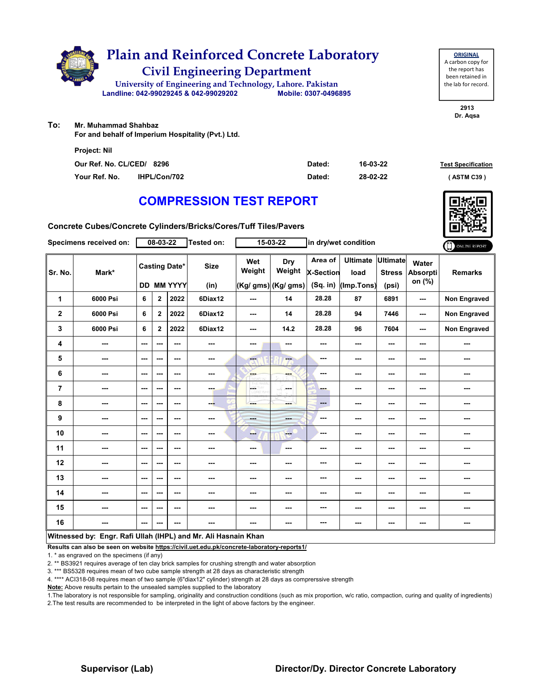

**ORIGINAL** A carbon copy for the report has been retained in the lab for record.

> **2913 Dr. Aqsa**

**To: Mr. Muhammad Shahbaz** 

**For and behalf of Imperium Hospitality (Pvt.) Ltd.**

| <b>Project: Nil</b>       |                     |        |          |                           |
|---------------------------|---------------------|--------|----------|---------------------------|
| Our Ref. No. CL/CED/ 8296 |                     | Dated: | 16-03-22 | <b>Test Specification</b> |
| Your Ref. No.             | <b>IHPL/Con/702</b> | Dated: | 28-02-22 | (ASTM C39)                |

# **COMPRESSION TEST REPORT**

**Concrete Cubes/Concrete Cylinders/Bricks/Cores/Tuff Tiles/Pavers**

|                | 08-03-22<br>Tested on:<br>15-03-22<br>in dry/wet condition<br>Specimens received on: |                          | ONLINE REPORT  |                                           |                     |               |                                      |                                           |                                       |                                           |                                    |                     |
|----------------|--------------------------------------------------------------------------------------|--------------------------|----------------|-------------------------------------------|---------------------|---------------|--------------------------------------|-------------------------------------------|---------------------------------------|-------------------------------------------|------------------------------------|---------------------|
| Sr. No.        | Mark*                                                                                |                          |                | <b>Casting Date*</b><br><b>DD MM YYYY</b> | <b>Size</b><br>(in) | Wet<br>Weight | Dry<br>Weight<br>(Kg/ gms) (Kg/ gms) | Area of<br><b>X-Section</b><br>$(Sq.$ in) | <b>Ultimate</b><br>load<br>(Imp.Tons) | <b>Ultimate</b><br><b>Stress</b><br>(psi) | Water<br><b>Absorpti</b><br>on (%) | <b>Remarks</b>      |
| 1              | 6000 Psi                                                                             | 6                        | $\mathbf 2$    | 2022                                      | 6Diax12             | ---           | 14                                   | 28.28                                     | 87                                    | 6891                                      | ---                                | Non Engraved        |
| $\mathbf{2}$   | 6000 Psi                                                                             | 6                        | $\mathbf{2}$   | 2022                                      | 6Diax12             | $--$          | 14                                   | 28.28                                     | 94                                    | 7446                                      | ---                                | <b>Non Engraved</b> |
| 3              | 6000 Psi                                                                             | 6                        | $\overline{2}$ | 2022                                      | 6Diax12             | ---           | 14.2                                 | 28.28                                     | 96                                    | 7604                                      | ---                                | <b>Non Engraved</b> |
| 4              | ---                                                                                  | $\overline{\phantom{a}}$ | ---            | $\sim$ $\sim$                             | ---                 | ---           | ---                                  | ---                                       | ---                                   | ---                                       | ---                                |                     |
| 5              | $\cdots$                                                                             | ---                      | ---            | $\overline{\phantom{a}}$                  | ---                 | ---           | $-1$                                 | ---                                       | ---                                   | ---                                       | ---                                | ---                 |
| 6              | ---                                                                                  | $\sim$ $\sim$            | ---            | $\sim$ $\sim$                             | $\sim$ $\sim$       | ---           | ---                                  | ---                                       | ---                                   | ---                                       | ---                                | ---                 |
| $\overline{7}$ | ---                                                                                  | $\sim$                   | ---            | ---                                       | ---                 | H.<br>orw.co  | -S.<br>---                           | ---                                       | ---                                   | $\overline{\phantom{a}}$                  | ---                                | ---                 |
| 8              | ---                                                                                  | ---                      | ---            | ---                                       | ---                 | ---           | ment of                              | $\cdots$                                  | ---                                   | ---                                       |                                    | ---                 |
| 9              | ---                                                                                  | $\overline{\phantom{a}}$ | ---            | $\sim$ $\sim$                             | ---                 | ---           | ---                                  | ---                                       | ---                                   | ---                                       |                                    | ---                 |
| 10             | $\sim$                                                                               | $\sim$                   | ---            | $\sim$ $\sim$                             | $\sim$              | فنبا          | <b>Free</b>                          | ---                                       | ---                                   | ---                                       | ---                                | ---                 |
| 11             | ---                                                                                  | $--$                     | ---            | $\overline{\phantom{a}}$                  | ---                 | ---           | $\overline{\phantom{a}}$             | ---                                       | ---                                   | ---                                       |                                    | ---                 |
| 12             | ---                                                                                  | ---                      | ---            | ---                                       | ---                 | ---           | ---                                  | ---                                       | ---                                   | ---                                       | ---                                | ---                 |
| 13             | ---                                                                                  | ---                      | ---            | ---                                       | ---                 | ---           | ---                                  | ---                                       | ---                                   | ---                                       | ---                                | ---                 |
| 14             | ---                                                                                  | $\sim$ $\sim$            | ---            | $- - -$                                   | ---                 | ---           | ---                                  | ---                                       | ---                                   | ---                                       | ---                                | ---                 |
| 15             | ---                                                                                  | $--$                     | ---            | $\overline{\phantom{a}}$                  | ---                 | ---           | ---                                  | ---                                       | ---                                   | ---                                       |                                    | ---                 |
| 16             | ---                                                                                  | $--$                     | ---            | ---                                       | ---                 | ---           | ---                                  | ---                                       | ---                                   | ---                                       | ---                                | ---                 |
|                | Witnessed by: Engr. Rafi Ullah (IHPL) and Mr. Ali Hasnain Khan                       |                          |                |                                           |                     |               |                                      |                                           |                                       |                                           |                                    |                     |

**Results can also be seen on website https://civil.uet.edu.pk/concrete-laboratory-reports1/**

1. \* as engraved on the specimens (if any)

2. \*\* BS3921 requires average of ten clay brick samples for crushing strength and water absorption

3. \*\*\* BS5328 requires mean of two cube sample strength at 28 days as characteristic strength

4. \*\*\*\* ACI318-08 requires mean of two sample (6"diax12" cylinder) strength at 28 days as comprerssive strength

**Note:** Above results pertain to the unsealed samples supplied to the laboratory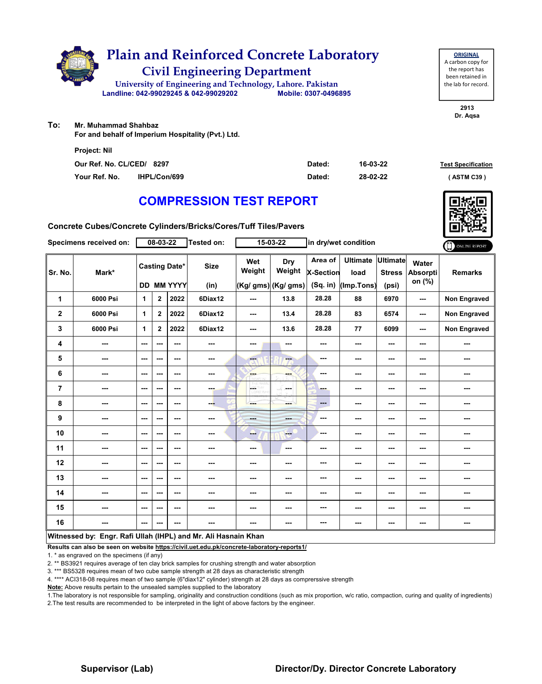

**2913** the lab for record.

**Dr. Aqsa**

**To: Mr. Muhammad Shahbaz** 

**For and behalf of Imperium Hospitality (Pvt.) Ltd.**

| <b>Project: Nil</b>       |                     |        |          |                           |
|---------------------------|---------------------|--------|----------|---------------------------|
| Our Ref. No. CL/CED/ 8297 |                     | Dated: | 16-03-22 | <b>Test Specification</b> |
| Your Ref. No.             | <b>IHPL/Con/699</b> | Dated: | 28-02-22 | (ASTM C39)                |

# **COMPRESSION TEST REPORT**

**Concrete Cubes/Concrete Cylinders/Bricks/Cores/Tuff Tiles/Pavers**

|                         | Specimens received on:                                         |                          | 08-03-22       |                                           | <b>Tested on:</b>   |                 | 15-03-22                             |                                         | in dry/wet condition                  |                                           |                             | ONLINE REPORT       |
|-------------------------|----------------------------------------------------------------|--------------------------|----------------|-------------------------------------------|---------------------|-----------------|--------------------------------------|-----------------------------------------|---------------------------------------|-------------------------------------------|-----------------------------|---------------------|
| Sr. No.                 | Mark*                                                          |                          |                | <b>Casting Date*</b><br><b>DD MM YYYY</b> | <b>Size</b><br>(in) | Wet<br>Weight   | Dry<br>Weight<br>(Kg/ gms) (Kg/ gms) | Area of<br><b>X-Section</b><br>(Sq. in) | <b>Ultimate</b><br>load<br>(Imp.Tons) | <b>Ultimate</b><br><b>Stress</b><br>(psi) | Water<br>Absorpti<br>on (%) | <b>Remarks</b>      |
| 1                       | 6000 Psi                                                       | 1                        | $\mathbf{2}$   | 2022                                      | 6Diax12             | ---             | 13.8                                 | 28.28                                   | 88                                    | 6970                                      | ---                         | <b>Non Engraved</b> |
| $\overline{\mathbf{2}}$ | 6000 Psi                                                       | $\mathbf{1}$             | $\overline{2}$ | 2022                                      | 6Diax12             | ---             | 13.4                                 | 28.28                                   | 83                                    | 6574                                      | ---                         | Non Engraved        |
| 3                       | 6000 Psi                                                       | $\mathbf{1}$             | $\mathbf{2}$   | 2022                                      | 6Diax12             | ---             | 13.6                                 | 28.28                                   | 77                                    | 6099                                      | ---                         | <b>Non Engraved</b> |
| 4                       | $\sim$                                                         | $\sim$                   | ---            | $\sim$ $\sim$                             | ---                 | ---             | ---                                  | ---                                     | ---                                   | ---                                       |                             | ---                 |
| 5                       | ---                                                            | ---                      | ---            | $\sim$ $\sim$                             | ---                 | <b>Fee</b>      | ---                                  | $\sim$ $\sim$                           | ---                                   | ---                                       | ---                         | ---                 |
| 6                       | ---                                                            | $--$                     | ---            | $\overline{\phantom{a}}$                  | $\sim$              | ---             | ---                                  | ---                                     | ---                                   | ---                                       | ---                         | ---                 |
| $\overline{7}$          | ---                                                            | $\overline{\phantom{a}}$ | ---            | $\sim$ $\sim$                             | ---                 | LGS.<br>D. VOYE | ---                                  | ---                                     | ---                                   | ---                                       | ---                         | ---                 |
| 8                       | ---                                                            | $--$                     | ---            | ---                                       | ---                 | ---             | ---                                  | $---$                                   | ---                                   | ---                                       | ---                         | ---                 |
| 9                       | ---                                                            | $\overline{\phantom{a}}$ | ---            | $- - -$                                   | ---                 | ---             | ---                                  | ---                                     | ---                                   | ---                                       | ---                         | ---                 |
| 10                      | $\overline{\phantom{a}}$                                       | $\sim$                   | ---            | $\sim$ $\sim$                             | ---                 | --              | <b>Free</b>                          | ---                                     | ---                                   | $\overline{\phantom{a}}$                  | ---                         | ---                 |
| 11                      | $\qquad \qquad \cdots$                                         | $\overline{\phantom{a}}$ | ---            | $\overline{\phantom{a}}$                  | ---                 | ---             | $\overline{\phantom{a}}$             | ---                                     | ---                                   | ---                                       |                             | ---                 |
| 12                      | ---                                                            | ---                      | ---            | ---                                       | ---                 | ---             |                                      | ---                                     | ---                                   | ---                                       | ---                         | ---                 |
| 13                      | ---                                                            | $\overline{\phantom{a}}$ | ---            | ---                                       | ---                 | ---             | ---                                  | ---                                     | ---                                   | ---                                       | ---                         | ---                 |
| 14                      | ---                                                            | $-$                      | ---            | $\sim$ $\sim$                             | $\sim$ $\sim$       | ---             | ---                                  | ---                                     | ---                                   | ---                                       | ---                         | ---                 |
| 15                      | ---                                                            | ---                      | ---            | $\overline{\phantom{a}}$                  | ---                 | ---             | ---                                  | ---                                     | ---                                   | ---                                       | ---                         | ---                 |
| 16                      | ---                                                            | $--$                     | ---            | ---                                       | ---                 | ---             | ---                                  | ---                                     | ---                                   | ---                                       | ---                         | ---                 |
|                         | Witnessed by: Engr. Rafi Ullah (IHPL) and Mr. Ali Hasnain Khan |                          |                |                                           |                     |                 |                                      |                                         |                                       |                                           |                             |                     |

**Results can also be seen on website https://civil.uet.edu.pk/concrete-laboratory-reports1/**

1. \* as engraved on the specimens (if any)

2. \*\* BS3921 requires average of ten clay brick samples for crushing strength and water absorption

3. \*\*\* BS5328 requires mean of two cube sample strength at 28 days as characteristic strength

4. \*\*\*\* ACI318-08 requires mean of two sample (6"diax12" cylinder) strength at 28 days as comprerssive strength

**Note:** Above results pertain to the unsealed samples supplied to the laboratory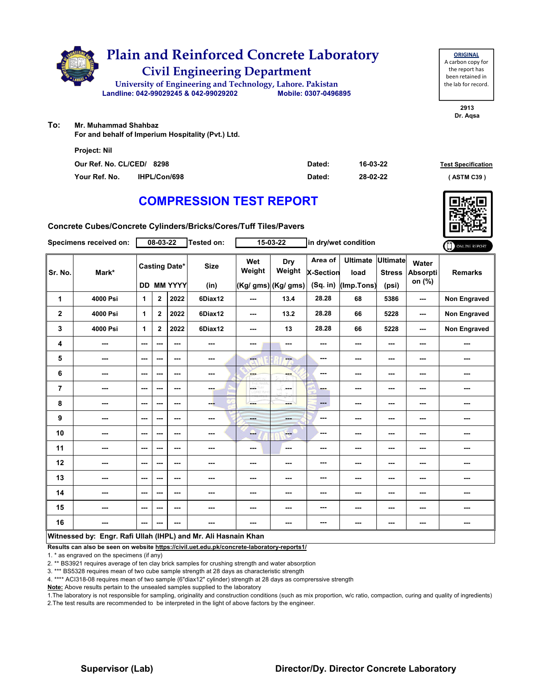

**2913**

**Dr. Aqsa**

**To: Mr. Muhammad Shahbaz** 

**For and behalf of Imperium Hospitality (Pvt.) Ltd.**

| <b>Project: Nil</b>       |                     |        |          |                           |
|---------------------------|---------------------|--------|----------|---------------------------|
| Our Ref. No. CL/CED/ 8298 |                     | Dated: | 16-03-22 | <b>Test Specification</b> |
| Your Ref. No.             | <b>IHPL/Con/698</b> | Dated: | 28-02-22 | (ASTM C39)                |

# **COMPRESSION TEST REPORT**

**Concrete Cubes/Concrete Cylinders/Bricks/Cores/Tuff Tiles/Pavers**

|                | Specimens received on:                                         |                          | 08-03-22       |                                    | <b>Tested on:</b>   |                | 15-03-22                             |                                         | in dry/wet condition                  |                                    |                             | ONLINE REPORT       |
|----------------|----------------------------------------------------------------|--------------------------|----------------|------------------------------------|---------------------|----------------|--------------------------------------|-----------------------------------------|---------------------------------------|------------------------------------|-----------------------------|---------------------|
| Sr. No.        | Mark*                                                          |                          |                | <b>Casting Date*</b><br>DD MM YYYY | <b>Size</b><br>(in) | Wet<br>Weight  | Dry<br>Weight<br>(Kg/ gms) (Kg/ gms) | Area of<br><b>X-Section</b><br>(Sq. in) | <b>Ultimate</b><br>load<br>(Imp.Tons) | Ultimate<br><b>Stress</b><br>(psi) | Water<br>Absorpti<br>on (%) | <b>Remarks</b>      |
| 1              | 4000 Psi                                                       | 1                        | $\mathbf{2}$   | 2022                               | 6Diax12             | ---            | 13.4                                 | 28.28                                   | 68                                    | 5386                               | ---                         | <b>Non Engraved</b> |
| $\overline{2}$ | 4000 Psi                                                       | $\mathbf{1}$             | $\overline{2}$ | 2022                               | 6Diax12             | ---            | 13.2                                 | 28.28                                   | 66                                    | 5228                               | ---                         | Non Engraved        |
| 3              | 4000 Psi                                                       | 1                        | $\mathbf{2}$   | 2022                               | 6Diax12             | ---            | 13                                   | 28.28                                   | 66                                    | 5228                               | ---                         | Non Engraved        |
| 4              | ---                                                            | ---                      | $-$ --         | $-$                                | ---                 | ---            | ---                                  | ---                                     | ---                                   | $--$                               | ---                         | ---                 |
| 5              | ---                                                            | ---                      | ---            | ---                                | ---                 | $-1$           | ---                                  | ---                                     | ---                                   | ---                                | ---                         | ---                 |
| 6              | ---                                                            | ---                      | ---            | ---                                | ---                 | ---            |                                      | ---                                     | ---                                   | $--$                               | ---                         | ---                 |
| $\overline{7}$ | ---                                                            | $\overline{\phantom{a}}$ | ---            | $\overline{\phantom{a}}$           | ---                 | L.             | محمد                                 | ---                                     | ---                                   | $--$                               | ---                         | ---                 |
| 8              | ---                                                            | ---                      | ---            | ---                                | ---                 | ---            | --                                   | ---                                     | ---                                   | $--$                               | ---                         | ---                 |
| 9              | ---                                                            | ---                      | ---            | ---                                | ---                 | <b>Barbara</b> | ---                                  | ---                                     | ---                                   | $--$                               | ---                         | ---                 |
| 10             | ---                                                            | $\sim$ $\sim$            | ---            | ---                                | ---                 | ---            | <b>Here</b>                          | ---                                     | ---                                   | $--$                               | ---                         | ---                 |
| 11             | ---                                                            | ---                      | ---            | ---                                | ---                 | ---            | $\sim$                               | ---                                     | ---                                   | ---                                | ---                         | ---                 |
| 12             |                                                                | ---                      | ---            | ---                                | ---                 | ---            | ---                                  | ---                                     | ---                                   | ---                                | ---                         |                     |
| 13             | ---                                                            | ---                      | ---            | ---                                | ---                 | ---            | ---                                  | ---                                     | ---                                   | $--$                               | ---                         | ---                 |
| 14             | ---                                                            | $-$                      | ---            | $-$                                | ---                 | ---            | ---                                  | ---                                     | ---                                   | ---                                | ---                         | ---                 |
| 15             | ---                                                            | ---                      | ---            | ---                                | ---                 | ---            | ---                                  | ---                                     | ---                                   | ---                                | ---                         | ---                 |
| 16             | ---                                                            | ---                      | ---            | ---                                | ---                 | ---            | ---                                  | ---                                     | ---                                   | $--$                               | ---                         | ---                 |
|                | Witnessed by: Engr. Rafi Ullah (IHPL) and Mr. Ali Hasnain Khan |                          |                |                                    |                     |                |                                      |                                         |                                       |                                    |                             |                     |

**Results can also be seen on website https://civil.uet.edu.pk/concrete-laboratory-reports1/**

1. \* as engraved on the specimens (if any)

2. \*\* BS3921 requires average of ten clay brick samples for crushing strength and water absorption

3. \*\*\* BS5328 requires mean of two cube sample strength at 28 days as characteristic strength

4. \*\*\*\* ACI318-08 requires mean of two sample (6"diax12" cylinder) strength at 28 days as comprerssive strength

**Note:** Above results pertain to the unsealed samples supplied to the laboratory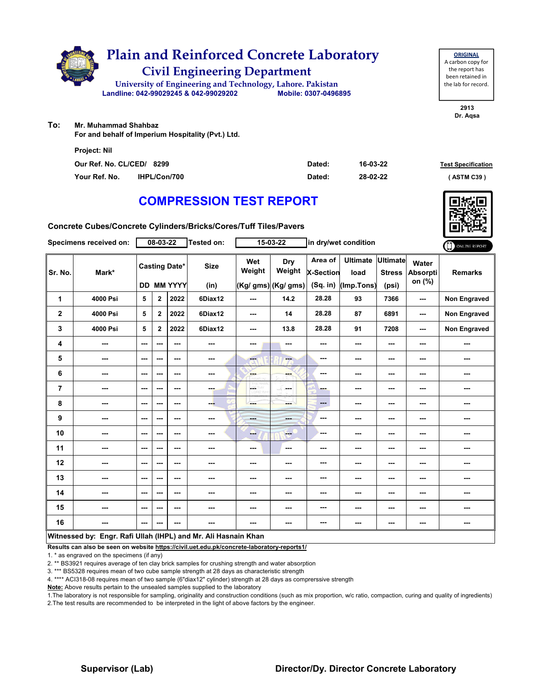

**ORIGINAL** A carbon copy for the report has been retained in the lab for record.

> **2913 Dr. Aqsa**

**To: Mr. Muhammad Shahbaz** 

**For and behalf of Imperium Hospitality (Pvt.) Ltd.**

| <b>Project: Nil</b>       |                     |        |          |                           |
|---------------------------|---------------------|--------|----------|---------------------------|
| Our Ref. No. CL/CED/ 8299 |                     | Dated: | 16-03-22 | <b>Test Specification</b> |
| Your Ref. No.             | <b>IHPL/Con/700</b> | Dated: | 28-02-22 | (ASTM C39)                |

# **COMPRESSION TEST REPORT**

**Concrete Cubes/Concrete Cylinders/Bricks/Cores/Tuff Tiles/Pavers**

|                                                                | Specimens received on: |               | 08-03-22     |                                           | Tested on:          |                | 15-03-22                              |                                         | in dry/wet condition                  |                                           |                             | ONLINE REPORT       |
|----------------------------------------------------------------|------------------------|---------------|--------------|-------------------------------------------|---------------------|----------------|---------------------------------------|-----------------------------------------|---------------------------------------|-------------------------------------------|-----------------------------|---------------------|
| Sr. No.                                                        | Mark*                  |               |              | <b>Casting Date*</b><br><b>DD MM YYYY</b> | <b>Size</b><br>(in) | Wet<br>Weight  | Dry<br>Weight<br>$(Kg/gms)$ (Kg/ gms) | Area of<br><b>X-Section</b><br>(Sq. in) | <b>Ultimate</b><br>load<br>(Imp.Tons) | <b>Ultimate</b><br><b>Stress</b><br>(psi) | Water<br>Absorpti<br>on (%) | <b>Remarks</b>      |
| 1                                                              | 4000 Psi               | 5             | $\mathbf{2}$ | 2022                                      | 6Diax12             | ---            | 14.2                                  | 28.28                                   | 93                                    | 7366                                      | ---                         | <b>Non Engraved</b> |
| $\mathbf 2$                                                    | 4000 Psi               | 5             | $\mathbf 2$  | 2022                                      | 6Diax12             | ---            | 14                                    | 28.28                                   | 87                                    | 6891                                      | ---                         | Non Engraved        |
| 3                                                              | 4000 Psi               | 5             | $\mathbf{2}$ | 2022                                      | 6Diax12             | ---            | 13.8                                  | 28.28                                   | 91                                    | 7208                                      | ---                         | Non Engraved        |
| 4                                                              | ---                    | $--$          | ---          | ---                                       | $\cdots$            | ---            | ---                                   | ---                                     | ---                                   | ---                                       | ---                         | ---                 |
| 5                                                              | ---                    | $--$          | ---          | ---                                       | $\cdots$            | ---            | ---                                   | ---                                     | ---                                   | $--$                                      | ---                         | ---                 |
| 6                                                              | ---                    | $--$          | ---          | ---                                       | ---                 | ---            | ---                                   | ---                                     | ---                                   | ---                                       | ---                         | ---                 |
| $\overline{7}$                                                 | ---                    | ---           | ---          | $--$                                      | ---                 | $\overline{a}$ | in ma                                 | ---                                     | ---                                   | ---                                       | ---                         | ---                 |
| 8                                                              | ---                    | ---           | ---          | $- - -$                                   | ---                 | ---            | ---                                   | ---                                     | ---                                   | $--$                                      | ---                         | ---                 |
| 9                                                              | ---                    | $\sim$ $\sim$ | ---          | ---                                       | ---                 | <b>Bank</b>    | ---                                   | ---                                     | ---                                   | ---                                       | ---                         | ---                 |
| 10                                                             | ---                    | $\sim$ $\sim$ | ---          | $--$                                      | ---                 | --             | <b>Fee</b>                            | ---                                     | ---                                   | $--$                                      | ---                         | ---                 |
| 11                                                             | ---                    | ---           | ---          | ---                                       | ---                 | ---            | $\sim$                                | ---                                     | ---                                   | ---                                       | ---                         | ---                 |
| 12                                                             | ---                    | $- - -$       | ---          | $- - -$                                   | ---                 | ---            | ---                                   | ---                                     | ---                                   | ---                                       | ---                         | ---                 |
| 13                                                             | ---                    | ---           | ---          | ---                                       | ---                 | ---            | ---                                   | ---                                     | ---                                   | ---                                       | ---                         | ---                 |
| 14                                                             | ---                    | ---           | ---          | ---                                       | $\cdots$            | ---            | ---                                   | ---                                     | ---                                   | ---                                       | ---                         | ---                 |
| 15                                                             | ---                    | ---           | ---          | ---                                       | ---                 | ---            | ---                                   | ---                                     | ---                                   | ---                                       | ---                         | ---                 |
| 16                                                             | ---                    | ---           | ---          | ---                                       | ---                 | ---            | ---                                   | ---                                     | ---                                   | ---                                       | ---                         | ---                 |
| Witnessed by: Engr. Rafi Ullah (IHPL) and Mr. Ali Hasnain Khan |                        |               |              |                                           |                     |                |                                       |                                         |                                       |                                           |                             |                     |

**Results can also be seen on website https://civil.uet.edu.pk/concrete-laboratory-reports1/**

1. \* as engraved on the specimens (if any)

2. \*\* BS3921 requires average of ten clay brick samples for crushing strength and water absorption

3. \*\*\* BS5328 requires mean of two cube sample strength at 28 days as characteristic strength

4. \*\*\*\* ACI318-08 requires mean of two sample (6"diax12" cylinder) strength at 28 days as comprerssive strength

**Note:** Above results pertain to the unsealed samples supplied to the laboratory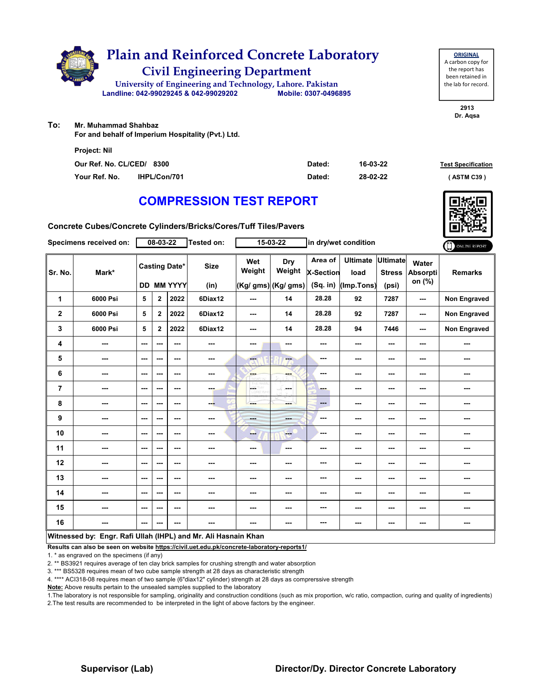

**2913 Dr. Aqsa**

**To: Mr. Muhammad Shahbaz** 

**For and behalf of Imperium Hospitality (Pvt.) Ltd.**

| <b>Project: Nil</b>       |                     |        |          |                           |
|---------------------------|---------------------|--------|----------|---------------------------|
| Our Ref. No. CL/CED/ 8300 |                     | Dated: | 16-03-22 | <b>Test Specification</b> |
| Your Ref. No.             | <b>IHPL/Con/701</b> | Dated: | 28-02-22 | (ASTM C39)                |

# **COMPRESSION TEST REPORT**

**Concrete Cubes/Concrete Cylinders/Bricks/Cores/Tuff Tiles/Pavers**

|                                                                | Specimens received on:   |                          | 08-03-22                 |                                    | Tested on:          |               | 15-03-22                             |                                           | in dry/wet condition                  |                                           |                             | ONLINE REPORT       |
|----------------------------------------------------------------|--------------------------|--------------------------|--------------------------|------------------------------------|---------------------|---------------|--------------------------------------|-------------------------------------------|---------------------------------------|-------------------------------------------|-----------------------------|---------------------|
| Sr. No.                                                        | Mark*                    |                          |                          | <b>Casting Date*</b><br>DD MM YYYY | <b>Size</b><br>(in) | Wet<br>Weight | Dry<br>Weight<br>(Kg/ gms) (Kg/ gms) | Area of<br><b>X-Section</b><br>$(Sq.$ in) | <b>Ultimate</b><br>load<br>(Imp.Tons) | <b>Ultimate</b><br><b>Stress</b><br>(psi) | Water<br>Absorpti<br>on (%) | <b>Remarks</b>      |
| 1                                                              | 6000 Psi                 | 5                        | $\mathbf{2}$             | 2022                               | 6Diax12             | ---           | 14                                   | 28.28                                     | 92                                    | 7287                                      | ---                         | <b>Non Engraved</b> |
| $\mathbf{2}$                                                   | 6000 Psi                 | 5                        | $\overline{2}$           | 2022                               | 6Diax12             | ---           | 14                                   | 28.28                                     | 92                                    | 7287                                      | ---                         | Non Engraved        |
| 3                                                              | 6000 Psi                 | 5                        | $\mathbf{2}$             | 2022                               | 6Diax12             | ---           | 14                                   | 28.28                                     | 94                                    | 7446                                      | ---                         | <b>Non Engraved</b> |
| 4                                                              | $\overline{\phantom{a}}$ | $\sim$ $\sim$            | $\sim$ $\sim$            | ---                                | ---                 | ---           | ---                                  | ---                                       | ---                                   | ---                                       | ---                         | ---                 |
| 5                                                              | ---                      | $\sim$ $\sim$            | ---                      | ---                                | $\sim$ $\sim$       | ---           | --                                   | ---                                       | ---                                   | ---                                       | ---                         | ---                 |
| 6                                                              | ---                      | $\sim$ $\sim$            | $\overline{\phantom{a}}$ | $\overline{\phantom{a}}$           | ---                 | ---           | ---                                  | $\overline{\phantom{a}}$                  | ---                                   | ---                                       | ---                         | ---                 |
| 7                                                              | ---                      | $\sim$ $\sim$            | $\overline{\phantom{a}}$ | $\overline{\phantom{a}}$           | ---                 | L.            | ---                                  | <b>STAR</b>                               | ---                                   | ---                                       | ---                         | ---                 |
| 8                                                              | ---                      | $\sim$ $\sim$            | ---                      | ---                                | --                  | ---           | --                                   | $---$                                     | ---                                   | ---                                       | ---                         | ---                 |
| 9                                                              | ---                      | $\sim$ $\sim$            | ---                      | ---                                | ---                 | man a         | ---                                  | $-$                                       | ---                                   | ---                                       | ---                         | ---                 |
| 10                                                             | $\overline{\phantom{a}}$ | $\sim$ $\sim$            | $\overline{\phantom{a}}$ | $\overline{\phantom{a}}$           | ---                 | ---           | <b>Free</b>                          | ---                                       | ---                                   | ---                                       | ---                         | ---                 |
| 11                                                             | ---                      | $\sim$ $\sim$            | ---                      | $\overline{\phantom{a}}$           | ---                 | ---           | $\sim$                               | ---                                       | ---                                   | ---                                       | ---                         | ---                 |
| 12                                                             | ---                      | $\overline{\phantom{a}}$ | ---                      | ---                                | ---                 | ---           | ---                                  | ---                                       | ---                                   | ---                                       | ---                         | ---                 |
| 13                                                             | ---                      | $\sim$ $\sim$            | ---                      | $\overline{\phantom{a}}$           | ---                 | ---           | ---                                  | ---                                       | ---                                   | ---                                       | ---                         | ---                 |
| 14                                                             | ---                      | $- - -$                  | $\sim$ $\sim$            | ---                                | ---                 | ---           | ---                                  | ---                                       | ---                                   | ---                                       | ---                         | ---                 |
| 15                                                             | ---                      | $\overline{\phantom{a}}$ | ---                      | $--$                               | ---                 | ---           | ---                                  | ---                                       | ---                                   | ---                                       | ---                         | ---                 |
| 16                                                             | ---                      | $\sim$ $\sim$            | ---                      | ---                                | ---                 | ---           | ---                                  | $- - -$                                   | ---                                   | ---                                       | $\sim$                      | ---                 |
| Witnessed by: Engr. Rafi Ullah (IHPL) and Mr. Ali Hasnain Khan |                          |                          |                          |                                    |                     |               |                                      |                                           |                                       |                                           |                             |                     |

**Results can also be seen on website https://civil.uet.edu.pk/concrete-laboratory-reports1/**

1. \* as engraved on the specimens (if any)

2. \*\* BS3921 requires average of ten clay brick samples for crushing strength and water absorption

3. \*\*\* BS5328 requires mean of two cube sample strength at 28 days as characteristic strength

4. \*\*\*\* ACI318-08 requires mean of two sample (6"diax12" cylinder) strength at 28 days as comprerssive strength

**Note:** Above results pertain to the unsealed samples supplied to the laboratory